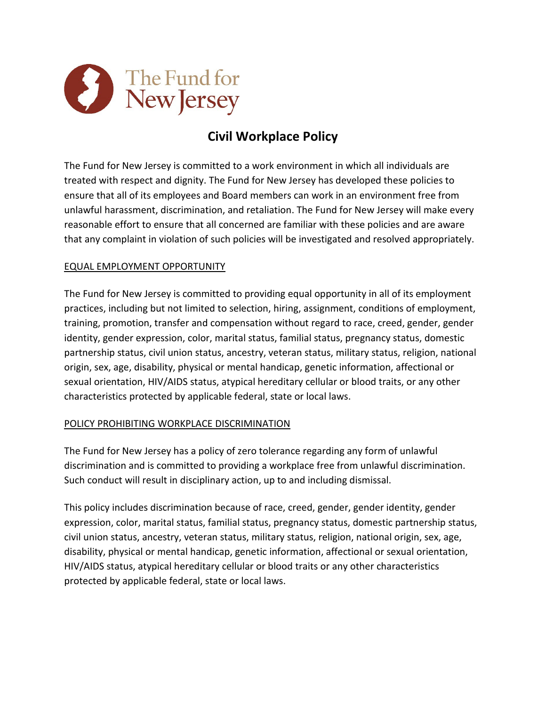

# **Civil Workplace Policy**

The Fund for New Jersey is committed to a work environment in which all individuals are treated with respect and dignity. The Fund for New Jersey has developed these policies to ensure that all of its employees and Board members can work in an environment free from unlawful harassment, discrimination, and retaliation. The Fund for New Jersey will make every reasonable effort to ensure that all concerned are familiar with these policies and are aware that any complaint in violation of such policies will be investigated and resolved appropriately.

## EQUAL EMPLOYMENT OPPORTUNITY

The Fund for New Jersey is committed to providing equal opportunity in all of its employment practices, including but not limited to selection, hiring, assignment, conditions of employment, training, promotion, transfer and compensation without regard to race, creed, gender, gender identity, gender expression, color, marital status, familial status, pregnancy status, domestic partnership status, civil union status, ancestry, veteran status, military status, religion, national origin, sex, age, disability, physical or mental handicap, genetic information, affectional or sexual orientation, HIV/AIDS status, atypical hereditary cellular or blood traits, or any other characteristics protected by applicable federal, state or local laws.

#### POLICY PROHIBITING WORKPLACE DISCRIMINATION

The Fund for New Jersey has a policy of zero tolerance regarding any form of unlawful discrimination and is committed to providing a workplace free from unlawful discrimination. Such conduct will result in disciplinary action, up to and including dismissal.

This policy includes discrimination because of race, creed, gender, gender identity, gender expression, color, marital status, familial status, pregnancy status, domestic partnership status, civil union status, ancestry, veteran status, military status, religion, national origin, sex, age, disability, physical or mental handicap, genetic information, affectional or sexual orientation, HIV/AIDS status, atypical hereditary cellular or blood traits or any other characteristics protected by applicable federal, state or local laws.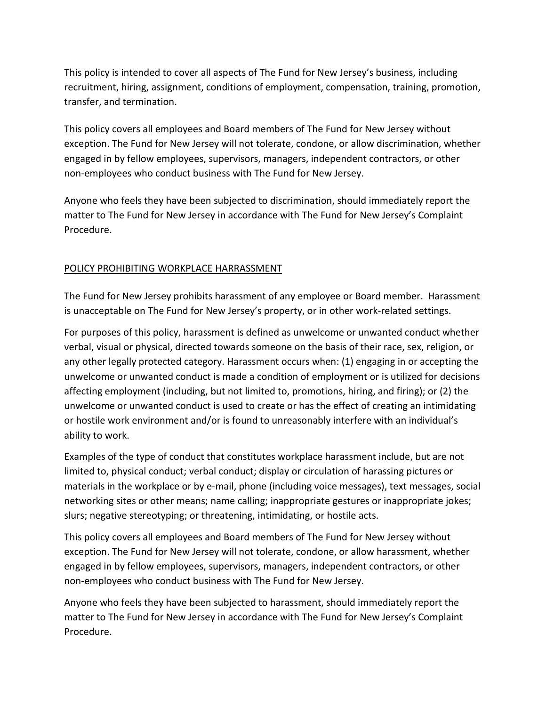This policy is intended to cover all aspects of The Fund for New Jersey's business, including recruitment, hiring, assignment, conditions of employment, compensation, training, promotion, transfer, and termination.

This policy covers all employees and Board members of The Fund for New Jersey without exception. The Fund for New Jersey will not tolerate, condone, or allow discrimination, whether engaged in by fellow employees, supervisors, managers, independent contractors, or other non-employees who conduct business with The Fund for New Jersey.

Anyone who feels they have been subjected to discrimination, should immediately report the matter to The Fund for New Jersey in accordance with The Fund for New Jersey's Complaint Procedure.

### POLICY PROHIBITING WORKPLACE HARRASSMENT

The Fund for New Jersey prohibits harassment of any employee or Board member. Harassment is unacceptable on The Fund for New Jersey's property, or in other work-related settings.

For purposes of this policy, harassment is defined as unwelcome or unwanted conduct whether verbal, visual or physical, directed towards someone on the basis of their race, sex, religion, or any other legally protected category. Harassment occurs when: (1) engaging in or accepting the unwelcome or unwanted conduct is made a condition of employment or is utilized for decisions affecting employment (including, but not limited to, promotions, hiring, and firing); or (2) the unwelcome or unwanted conduct is used to create or has the effect of creating an intimidating or hostile work environment and/or is found to unreasonably interfere with an individual's ability to work.

Examples of the type of conduct that constitutes workplace harassment include, but are not limited to, physical conduct; verbal conduct; display or circulation of harassing pictures or materials in the workplace or by e-mail, phone (including voice messages), text messages, social networking sites or other means; name calling; inappropriate gestures or inappropriate jokes; slurs; negative stereotyping; or threatening, intimidating, or hostile acts.

This policy covers all employees and Board members of The Fund for New Jersey without exception. The Fund for New Jersey will not tolerate, condone, or allow harassment, whether engaged in by fellow employees, supervisors, managers, independent contractors, or other non-employees who conduct business with The Fund for New Jersey.

Anyone who feels they have been subjected to harassment, should immediately report the matter to The Fund for New Jersey in accordance with The Fund for New Jersey's Complaint Procedure.